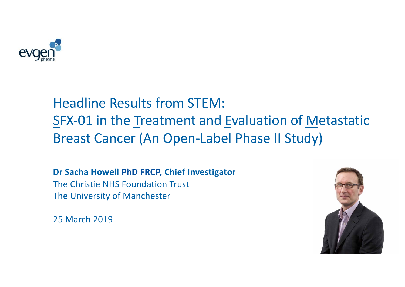

## Headline Results from STEM: SFX-01 in the Treatment and Evaluation of Metastatic Breast Cancer (An Open-Label Phase II Study)

**Dr Sacha Howell PhD FRCP, Chief Investigator** The Christie NHS Foundation Trust The University of Manchester

25 March 2019

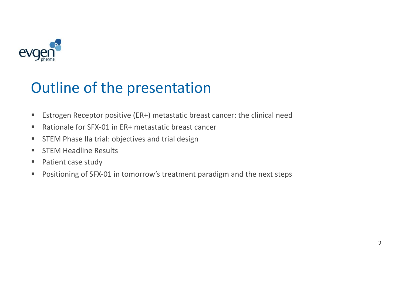

## Outline of the presentation

- Estrogen Receptor positive (ER+) metastatic breast cancer: the clinical need
- Rationale for SFX-01 in ER+ metastatic breast cancer
- STEM Phase IIa trial: objectives and trial design
- STEM Headline Results
- Patient case study
- Positioning of SFX-01 in tomorrow's treatment paradigm and the next steps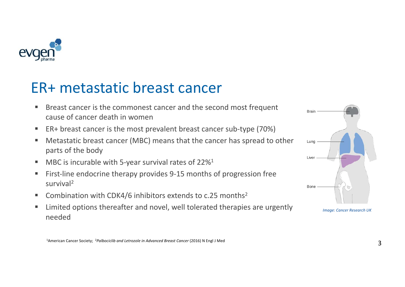

### ER+ metastatic breast cancer

- Breast cancer is the commonest cancer and the second most frequent cause of cancer death in women
- ER+ breast cancer is the most prevalent breast cancer sub-type (70%)
- Metastatic breast cancer (MBC) means that the cancer has spread to other parts of the body
- MBC is incurable with 5-year survival rates of  $22\%$ <sup>1</sup>
- First-line endocrine therapy provides 9-15 months of progression free survival2
- Combination with CDK4/6 inhibitors extends to  $c.25$  months<sup>2</sup>
- Limited options thereafter and novel, well tolerated therapies are urgently needed



*Image: Cancer Research UK*

1American Cancer Society; 2*Palbociclib and Letrozole in Advanced Breast Cancer* (2016) N Engl J Med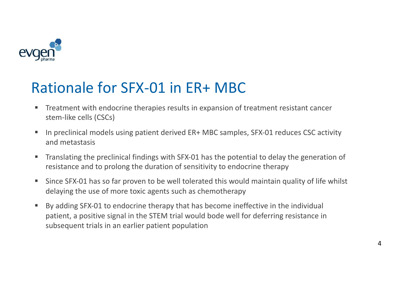

## Rationale for SFX-01 in ER+ MBC

- Treatment with endocrine therapies results in expansion of treatment resistant cancer stem-like cells (CSCs)
- In preclinical models using patient derived ER+ MBC samples, SFX-01 reduces CSC activity and metastasis
- Translating the preclinical findings with SFX-01 has the potential to delay the generation of resistance and to prolong the duration of sensitivity to endocrine therapy
- Since SFX-01 has so far proven to be well tolerated this would maintain quality of life whilst delaying the use of more toxic agents such as chemotherapy
- By adding SFX-01 to endocrine therapy that has become ineffective in the individual patient, a positive signal in the STEM trial would bode well for deferring resistance in subsequent trials in an earlier patient population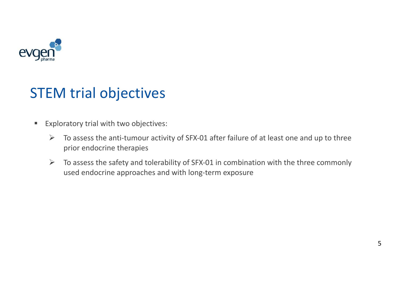

### STEM trial objectives

- Exploratory trial with two objectives:
	- $\triangleright$  To assess the anti-tumour activity of SFX-01 after failure of at least one and up to three prior endocrine therapies
	- $\triangleright$  To assess the safety and tolerability of SFX-01 in combination with the three commonly used endocrine approaches and with long-term exposure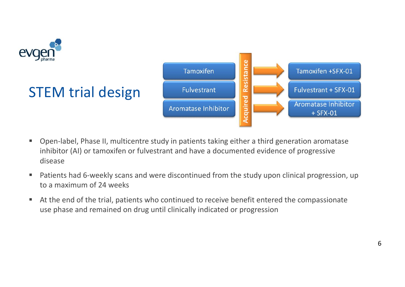

- Open-label, Phase II, multicentre study in patients taking either a third generation aromatase inhibitor (AI) or tamoxifen or fulvestrant and have a documented evidence of progressive disease
- Patients had 6-weekly scans and were discontinued from the study upon clinical progression, up to a maximum of 24 weeks
- At the end of the trial, patients who continued to receive benefit entered the compassionate use phase and remained on drug until clinically indicated or progression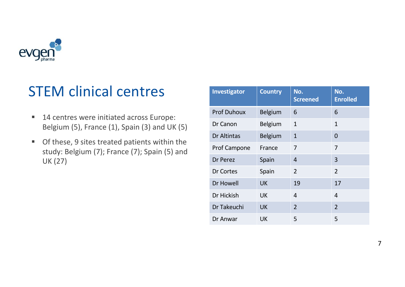

### STEM clinical centres

- 14 centres were initiated across Europe: Belgium (5), France (1), Spain (3) and UK (5)
- Of these, 9 sites treated patients within the study: Belgium (7); France (7); Spain (5) and UK (27)

| Investigator        | <b>Country</b> | No.<br><b>Screened</b> | No.<br><b>Enrolled</b> |
|---------------------|----------------|------------------------|------------------------|
| <b>Prof Duhoux</b>  | <b>Belgium</b> | 6                      | 6                      |
| Dr Canon            | <b>Belgium</b> | $\mathbf{1}$           | $\mathbf{1}$           |
| Dr Altintas         | <b>Belgium</b> | $\mathbf{1}$           | $\overline{0}$         |
| <b>Prof Campone</b> | France         | 7                      | 7                      |
| Dr Perez            | Spain          | 4                      | 3                      |
| Dr Cortes           | Spain          | $\overline{2}$         | $\overline{2}$         |
| Dr Howell           | <b>UK</b>      | 19                     | 17                     |
| Dr Hickish          | <b>UK</b>      | 4                      | $\overline{4}$         |
| Dr Takeuchi         | <b>UK</b>      | $\overline{2}$         | $\overline{2}$         |
| Dr Anwar            | UK             | 5                      | 5                      |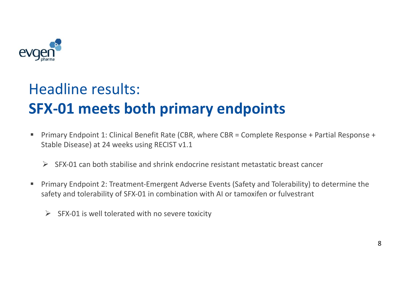

# Headline results: **SFX-01 meets both primary endpoints**

- § Primary Endpoint 1: Clinical Benefit Rate (CBR, where CBR = Complete Response + Partial Response + Stable Disease) at 24 weeks using RECIST v1.1
	- $\triangleright$  SFX-01 can both stabilise and shrink endocrine resistant metastatic breast cancer
- Primary Endpoint 2: Treatment-Emergent Adverse Events (Safety and Tolerability) to determine the safety and tolerability of SFX-01 in combination with AI or tamoxifen or fulvestrant
	- $\triangleright$  SFX-01 is well tolerated with no severe toxicity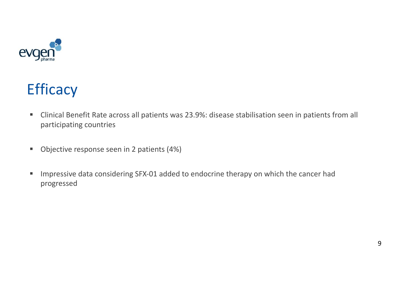

# **Efficacy**

- Clinical Benefit Rate across all patients was 23.9%: disease stabilisation seen in patients from all participating countries
- Objective response seen in 2 patients (4%)
- Impressive data considering SFX-01 added to endocrine therapy on which the cancer had progressed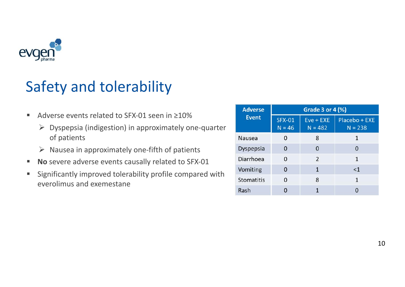

# Safety and tolerability

- Adverse events related to SFX-01 seen in ≥10%
	- $\triangleright$  Dyspepsia (indigestion) in approximately one-quarter of patients
	- $\triangleright$  Nausea in approximately one-fifth of patients
- § **No** severe adverse events causally related to SFX-01
- Significantly improved tolerability profile compared with everolimus and exemestane

| <b>Adverse</b><br><b>Event</b> | Grade 3 or 4 $(\%)$       |                          |                            |  |
|--------------------------------|---------------------------|--------------------------|----------------------------|--|
|                                | <b>SFX-01</b><br>$N = 46$ | $Eve + EXE$<br>$N = 482$ | Placebo + EXE<br>$N = 238$ |  |
| <b>Nausea</b>                  | O                         | 8                        |                            |  |
| Dyspepsia                      | O                         | 0                        | 0                          |  |
| Diarrhoea                      | O                         | $\overline{2}$           | 1                          |  |
| Vomiting                       | ŋ                         | 1                        | <1                         |  |
| <b>Stomatitis</b>              | O                         | 8                        | 1                          |  |
| Rash                           |                           |                          |                            |  |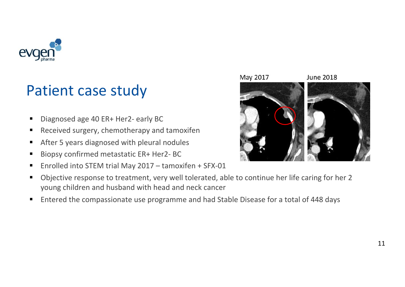

### Patient case study

- Diagnosed age 40 ER+ Her2- early BC
- Received surgery, chemotherapy and tamoxifen
- After 5 years diagnosed with pleural nodules
- Biopsy confirmed metastatic ER+ Her2- BC
- Enrolled into STEM trial May 2017 tamoxifen + SFX-01
- Objective response to treatment, very well tolerated, able to continue her life caring for her 2 young children and husband with head and neck cancer
- Entered the compassionate use programme and had Stable Disease for a total of 448 days

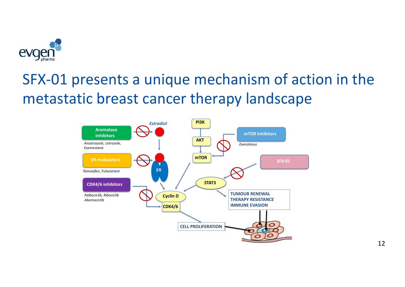

# SFX-01 presents a unique mechanism of action in the metastatic breast cancer therapy landscape



12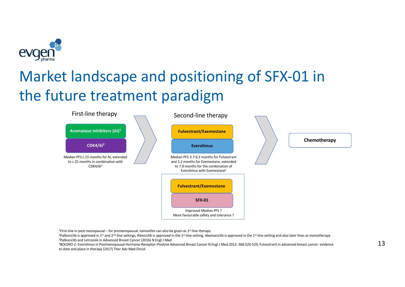

# Market landscape and positioning of SFX-01 in the future treatment paradigm



<sup>1</sup>First-line in post-menopausal – for premenopausal, tamoxifen can also be given as 1<sup>st-line</sup> therapy

<sup>2</sup>Palbociclib is approved in 1<sup>st</sup> and 2<sup>nd</sup>-line settings, Ribociclib is approved in the 1<sup>st</sup>-line setting, Abemaciclib is approved in the 1<sup>st</sup>-line setting and also later lines as monotherapy 3Palbociclib and Letrozole in Advanced Breast Cancer (2016) N Engl J Med

4BOLERO-2: Everolimus in Postmenopausal Hormone-Receptor–Positive Advanced Breast Cancer N Engl J Med 2012; 366:520-529; Fulvestrant in advanced breast cancer: evidence to date and place in therapy (2017) Ther Adv Med Oncol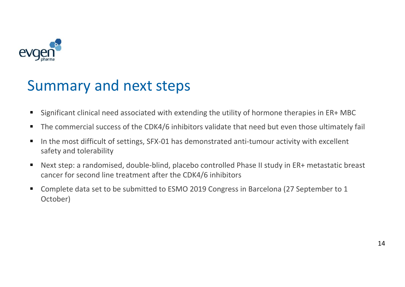

#### Summary and next steps

- Significant clinical need associated with extending the utility of hormone therapies in ER+ MBC
- The commercial success of the CDK4/6 inhibitors validate that need but even those ultimately fail
- In the most difficult of settings, SFX-01 has demonstrated anti-tumour activity with excellent safety and tolerability
- Next step: a randomised, double-blind, placebo controlled Phase II study in ER+ metastatic breast cancer for second line treatment after the CDK4/6 inhibitors
- Complete data set to be submitted to ESMO 2019 Congress in Barcelona (27 September to 1 October)